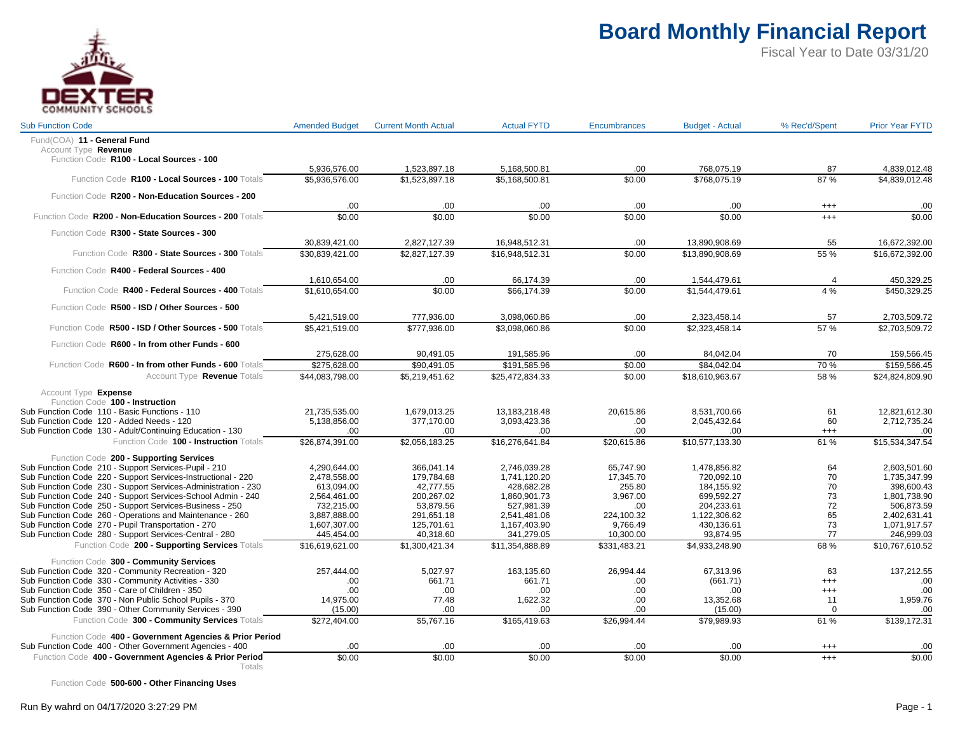

Fiscal Year to Date 03/31/20

| <b>Sub Function Code</b>                                                                                             | <b>Amended Budget</b>          | <b>Current Month Actual</b>    | <b>Actual FYTD</b>             | <b>Encumbrances</b>    | <b>Budget - Actual</b>     | % Rec'd/Spent  | <b>Prior Year FYTD</b>         |
|----------------------------------------------------------------------------------------------------------------------|--------------------------------|--------------------------------|--------------------------------|------------------------|----------------------------|----------------|--------------------------------|
| Fund(COA) 11 - General Fund                                                                                          |                                |                                |                                |                        |                            |                |                                |
| Account Type Revenue                                                                                                 |                                |                                |                                |                        |                            |                |                                |
| Function Code R100 - Local Sources - 100                                                                             |                                |                                |                                |                        |                            |                |                                |
| Function Code R100 - Local Sources - 100 Totals                                                                      | 5,936,576.00<br>\$5.936.576.00 | 1,523,897.18<br>\$1.523.897.18 | 5,168,500.81<br>\$5.168.500.81 | .00<br>\$0.00          | 768,075.19<br>\$768.075.19 | 87<br>87%      | 4,839,012.48<br>\$4,839,012.48 |
|                                                                                                                      |                                |                                |                                |                        |                            |                |                                |
| Function Code R200 - Non-Education Sources - 200                                                                     |                                |                                |                                |                        |                            |                |                                |
|                                                                                                                      | .00                            | .00                            | .00                            | .00                    | .00                        | $^{+++}$       | .00                            |
| Function Code R200 - Non-Education Sources - 200 Totals                                                              | \$0.00                         | \$0.00                         | \$0.00                         | \$0.00                 | \$0.00                     | $^{+++}$       | \$0.00                         |
| Function Code R300 - State Sources - 300                                                                             |                                |                                |                                |                        |                            |                |                                |
|                                                                                                                      | 30,839,421.00                  | 2,827,127.39                   | 16,948,512.31                  | .00                    | 13,890,908.69              | 55             | 16,672,392.00                  |
| Function Code R300 - State Sources - 300 Totals                                                                      | \$30,839,421.00                | \$2,827,127.39                 | \$16,948,512.31                | \$0.00                 | \$13,890,908.69            | 55 %           | \$16,672,392.00                |
| Function Code R400 - Federal Sources - 400                                                                           |                                |                                |                                |                        |                            |                |                                |
|                                                                                                                      | 1,610,654.00                   | .00                            | 66,174.39                      | .00                    | 1,544,479.61               | $\overline{4}$ | 450,329.25                     |
| Function Code R400 - Federal Sources - 400 Totals                                                                    | \$1,610,654.00                 | \$0.00                         | \$66.174.39                    | \$0.00                 | \$1,544,479.61             | 4%             | \$450,329.25                   |
| Function Code R500 - ISD / Other Sources - 500                                                                       |                                |                                |                                |                        |                            |                |                                |
|                                                                                                                      | 5,421,519.00                   | 777,936.00                     | 3,098,060.86                   | .00                    | 2,323,458.14               | 57             | 2,703,509.72                   |
| Function Code R500 - ISD / Other Sources - 500 Totals                                                                | \$5,421,519.00                 | \$777,936.00                   | \$3,098,060.86                 | \$0.00                 | \$2,323,458.14             | 57%            | \$2,703,509.72                 |
|                                                                                                                      |                                |                                |                                |                        |                            |                |                                |
| Function Code R600 - In from other Funds - 600                                                                       |                                |                                |                                |                        |                            |                |                                |
| Function Code R600 - In from other Funds - 600 Totals                                                                | 275,628.00<br>\$275,628.00     | 90,491.05<br>\$90.491.05       | 191,585.96<br>\$191,585.96     | .00<br>\$0.00          | 84,042.04<br>\$84.042.04   | 70<br>70 %     | 159,566.45<br>\$159,566.45     |
| Account Type Revenue Totals                                                                                          | \$44,083,798.00                | \$5,219,451.62                 | \$25,472,834.33                | \$0.00                 | \$18,610,963.67            | 58 %           |                                |
|                                                                                                                      |                                |                                |                                |                        |                            |                | \$24,824,809.90                |
| Account Type Expense                                                                                                 |                                |                                |                                |                        |                            |                |                                |
| Function Code 100 - Instruction                                                                                      |                                |                                |                                |                        |                            |                |                                |
| Sub Function Code 110 - Basic Functions - 110<br>Sub Function Code 120 - Added Needs - 120                           | 21,735,535.00                  | 1,679,013.25                   | 13,183,218.48                  | 20.615.86              | 8.531.700.66               | 61<br>60       | 12,821,612.30                  |
| Sub Function Code 130 - Adult/Continuing Education - 130                                                             | 5,138,856.00<br>.00            | 377,170.00<br>.00              | 3,093,423.36<br>.00            | .00<br>.00             | 2,045,432.64<br>.00        | $^{+++}$       | 2,712,735.24<br>.00            |
| Function Code 100 - Instruction Totals                                                                               | \$26,874,391.00                | \$2,056,183.25                 | \$16,276,641.84                | \$20,615.86            | \$10,577,133.30            | 61%            | \$15,534,347.54                |
|                                                                                                                      |                                |                                |                                |                        |                            |                |                                |
| Function Code 200 - Supporting Services                                                                              |                                |                                |                                |                        |                            |                |                                |
| Sub Function Code 210 - Support Services-Pupil - 210<br>Sub Function Code 220 - Support Services-Instructional - 220 | 4,290,644.00<br>2.478.558.00   | 366,041.14<br>179.784.68       | 2,746,039.28<br>1.741.120.20   | 65,747.90<br>17.345.70 | 1,478,856.82<br>720.092.10 | 64<br>70       | 2,603,501.60<br>1.735.347.99   |
| Sub Function Code 230 - Support Services-Administration - 230                                                        | 613,094.00                     | 42,777.55                      | 428,682.28                     | 255.80                 | 184,155.92                 | 70             | 398,600.43                     |
| Sub Function Code 240 - Support Services-School Admin - 240                                                          | 2,564,461.00                   | 200,267.02                     | 1,860,901.73                   | 3,967.00               | 699,592.27                 | 73             | 1,801,738.90                   |
| Sub Function Code 250 - Support Services-Business - 250                                                              | 732,215.00                     | 53,879.56                      | 527,981.39                     | .00                    | 204,233.61                 | 72             | 506,873.59                     |
| Sub Function Code 260 - Operations and Maintenance - 260                                                             | 3,887,888.00                   | 291,651.18                     | 2,541,481.06                   | 224,100.32             | 1,122,306.62               | 65             | 2,402,631.41                   |
| Sub Function Code 270 - Pupil Transportation - 270                                                                   | 1.607.307.00                   | 125.701.61                     | 1,167,403.90                   | 9.766.49               | 430,136.61                 | 73             | 1.071.917.57                   |
| Sub Function Code 280 - Support Services-Central - 280                                                               | 445,454.00                     | 40,318.60                      | 341,279.05                     | 10,300.00              | 93,874.95                  | 77             | 246,999.03                     |
| Function Code 200 - Supporting Services Totals                                                                       | \$16,619,621.00                | \$1,300,421.34                 | \$11,354,888.89                | \$331,483.21           | \$4,933,248.90             | 68%            | \$10,767,610.52                |
| Function Code 300 - Community Services                                                                               |                                |                                |                                |                        |                            |                |                                |
| Sub Function Code 320 - Community Recreation - 320                                                                   | 257,444.00                     | 5,027.97                       | 163,135.60                     | 26,994.44              | 67,313.96                  | 63             | 137,212.55                     |
| Sub Function Code 330 - Community Activities - 330                                                                   | .00                            | 661.71                         | 661.71                         | .00                    | (661.71)                   | $^{+++}$       | .00                            |
| Sub Function Code 350 - Care of Children - 350                                                                       | .00                            | .00                            | .00                            | .00                    | .00                        | $^{+++}$       | .00                            |
| Sub Function Code 370 - Non Public School Pupils - 370                                                               | 14,975.00                      | 77.48                          | 1,622.32                       | .00                    | 13,352.68                  | 11             | 1,959.76                       |
| Sub Function Code 390 - Other Community Services - 390                                                               | (15.00)                        | .00                            | .00                            | .00                    | (15.00)                    | $\mathbf 0$    | .00                            |
| Function Code 300 - Community Services Totals                                                                        | \$272.404.00                   | \$5,767.16                     | \$165,419.63                   | \$26.994.44            | \$79.989.93                | 61%            | \$139.172.31                   |
|                                                                                                                      |                                |                                |                                |                        |                            |                |                                |
| Function Code 400 - Government Agencies & Prior Period<br>Sub Function Code 400 - Other Government Agencies - 400    | .00                            | .00                            | .00                            | .00                    | .00                        | $^{+++}$       | .00                            |
| Function Code 400 - Government Agencies & Prior Period                                                               | \$0.00                         | \$0.00                         | \$0.00                         | \$0.00                 | \$0.00                     | $^{+++}$       | \$0.00                         |
| Totals                                                                                                               |                                |                                |                                |                        |                            |                |                                |

Function Code **500-600 - Other Financing Uses**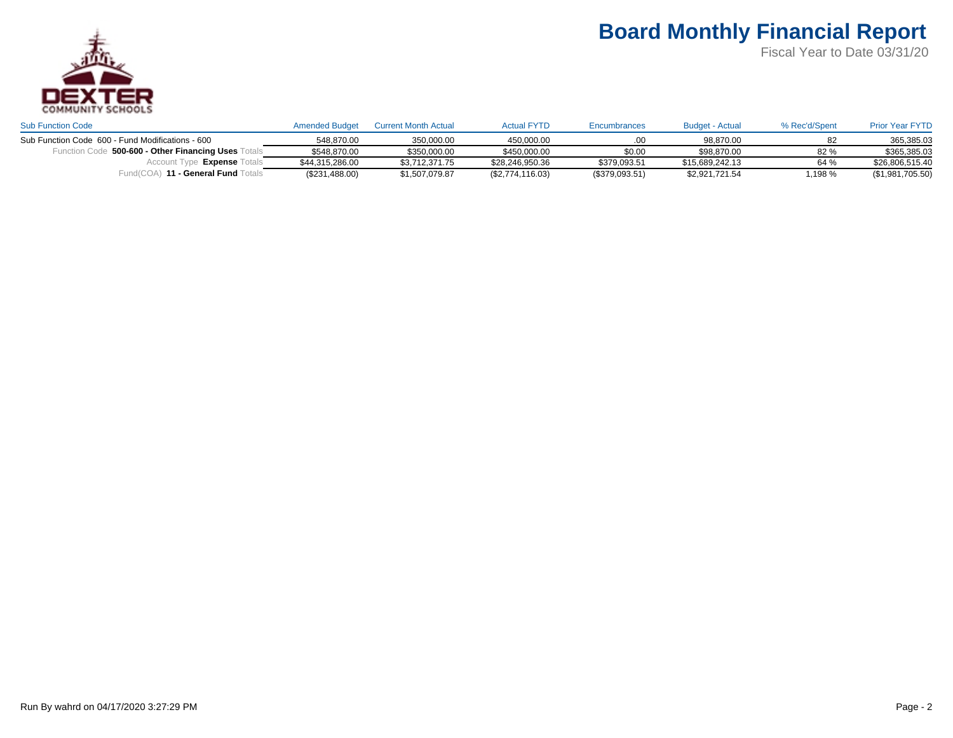

| <b>Sub Function Code</b>                                   | <b>Amended Budget</b> | <b>Current Month Actual</b> | <b>Actual FYTD</b> | Encumbrances     | Budget - Actual | % Rec'd/Spent | <b>Prior Year FYTD</b> |
|------------------------------------------------------------|-----------------------|-----------------------------|--------------------|------------------|-----------------|---------------|------------------------|
| Sub Function Code 600 - Fund Modifications - 600           | 548.870.00            | 350.000.00                  | 450.000.00         |                  | 98.870.00       |               | 365.385.03             |
| $_{2}$ 500-600 - Other Financing Uses $\top$<br>Function ( | \$548.870.00          | \$350,000.00                | \$450.000.00       | \$0.00           | \$98,870,00     | 82%           | \$365.385.03           |
| Expense T<br>Account                                       | \$44.315.286.00       | \$3.712.371.75              | \$28,246,950.36    | \$379.093.51     | \$15.689.242.13 | 64 %          | \$26.806.515.40        |
| ) <b>11 - General Fund</b> To<br>⊑und(COA)                 | (\$231,488.00)        | \$1,507,079.87              | (\$2,774,116.03)   | $(\$379,093.51)$ | \$2,921,721.54  | ,198 %        | (\$1,981,705.50)       |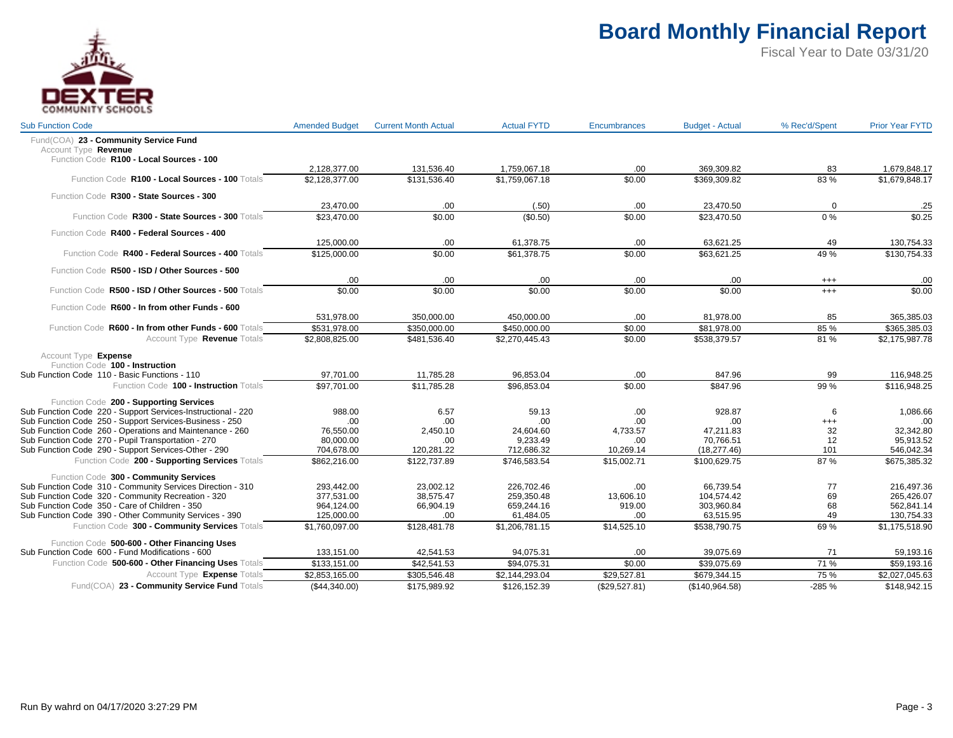

| <b>Sub Function Code</b>                                                                                                | <b>Amended Budget</b> | <b>Current Month Actual</b> | <b>Actual FYTD</b> | <b>Encumbrances</b> | <b>Budget - Actual</b> | % Rec'd/Spent  | <b>Prior Year FYTD</b>     |
|-------------------------------------------------------------------------------------------------------------------------|-----------------------|-----------------------------|--------------------|---------------------|------------------------|----------------|----------------------------|
| Fund(COA) 23 - Community Service Fund                                                                                   |                       |                             |                    |                     |                        |                |                            |
| Account Type Revenue                                                                                                    |                       |                             |                    |                     |                        |                |                            |
| Function Code R100 - Local Sources - 100                                                                                |                       |                             |                    |                     |                        |                |                            |
|                                                                                                                         | 2,128,377.00          | 131,536.40                  | 1,759,067.18       | .00                 | 369,309.82             | 83             | 1,679,848.17               |
| Function Code R100 - Local Sources - 100 Totals                                                                         | \$2.128.377.00        | \$131.536.40                | \$1.759.067.18     | \$0.00              | \$369.309.82           | 83%            | \$1,679,848.17             |
| Function Code R300 - State Sources - 300                                                                                |                       |                             |                    |                     |                        |                |                            |
|                                                                                                                         | 23,470.00             | .00                         | (.50)              | .00                 | 23,470.50              | $\Omega$       | .25                        |
| Function Code R300 - State Sources - 300 Totals                                                                         | \$23.470.00           | \$0.00                      | (\$0.50)           | \$0.00              | \$23,470.50            | $0\%$          | \$0.25                     |
| Function Code R400 - Federal Sources - 400                                                                              |                       |                             |                    |                     |                        |                |                            |
|                                                                                                                         | 125,000.00            | .00                         | 61,378.75          | .00                 | 63,621.25              | 49             | 130,754.33                 |
| Function Code R400 - Federal Sources - 400 Totals                                                                       | \$125,000.00          | \$0.00                      | \$61.378.75        | \$0.00              | \$63.621.25            | 49 %           | \$130.754.33               |
| Function Code R500 - ISD / Other Sources - 500                                                                          |                       |                             |                    |                     |                        |                |                            |
|                                                                                                                         | .00                   | .00.                        | .00                | .00                 | .00                    | $^{+++}$       | .00                        |
| Function Code R500 - ISD / Other Sources - 500 Totals                                                                   | \$0.00                | \$0.00                      | \$0.00             | \$0.00              | \$0.00                 | $^{+++}$       | \$0.00                     |
|                                                                                                                         |                       |                             |                    |                     |                        |                |                            |
| Function Code R600 - In from other Funds - 600                                                                          | 531,978.00            | 350,000.00                  | 450,000.00         | .00                 | 81,978.00              | 85             | 365,385.03                 |
| Function Code R600 - In from other Funds - 600 Totals                                                                   | \$531,978.00          | \$350,000.00                | \$450,000.00       | \$0.00              | \$81,978.00            | 85%            | \$365,385.03               |
| Account Type Revenue Totals                                                                                             | \$2,808,825.00        | \$481,536.40                | \$2,270,445.43     | \$0.00              | \$538,379.57           | 81%            | \$2,175,987.78             |
|                                                                                                                         |                       |                             |                    |                     |                        |                |                            |
| Account Type Expense<br>Function Code 100 - Instruction                                                                 |                       |                             |                    |                     |                        |                |                            |
| Sub Function Code 110 - Basic Functions - 110                                                                           | 97,701.00             | 11,785.28                   | 96,853.04          | .00                 | 847.96                 | 99             | 116,948.25                 |
| Function Code 100 - Instruction Totals                                                                                  | \$97,701.00           | \$11,785.28                 | \$96,853.04        | \$0.00              | \$847.96               | 99%            | \$116,948.25               |
|                                                                                                                         |                       |                             |                    |                     |                        |                |                            |
| Function Code 200 - Supporting Services                                                                                 |                       |                             |                    |                     |                        |                |                            |
| Sub Function Code 220 - Support Services-Instructional - 220<br>Sub Function Code 250 - Support Services-Business - 250 | 988.00<br>.00         | 6.57<br>.00                 | 59.13<br>.00       | .00<br>.00.         | 928.87<br>.00          | 6              | 1,086.66<br>.00            |
| Sub Function Code 260 - Operations and Maintenance - 260                                                                | 76.550.00             | 2,450.10                    | 24,604.60          | 4.733.57            | 47,211.83              | $^{+++}$<br>32 | 32.342.80                  |
| Sub Function Code 270 - Pupil Transportation - 270                                                                      | 80,000.00             | .00.                        | 9.233.49           | .00                 | 70.766.51              | 12             | 95.913.52                  |
| Sub Function Code 290 - Support Services-Other - 290                                                                    | 704,678.00            | 120,281.22                  | 712,686.32         | 10,269.14           | (18, 277.46)           | 101            | 546,042.34                 |
| Function Code 200 - Supporting Services Totals                                                                          |                       | \$122,737.89                | \$746.583.54       |                     | \$100.629.75           | 87%            | \$675,385.32               |
|                                                                                                                         | \$862,216.00          |                             |                    | \$15,002.71         |                        |                |                            |
| Function Code 300 - Community Services                                                                                  |                       |                             |                    |                     |                        |                |                            |
| Sub Function Code 310 - Community Services Direction - 310                                                              | 293,442.00            | 23,002.12                   | 226,702.46         | .00                 | 66,739.54              | 77             | 216,497.36                 |
| Sub Function Code 320 - Community Recreation - 320                                                                      | 377,531.00            | 38,575.47                   | 259,350.48         | 13,606.10           | 104,574.42             | 69             | 265,426.07                 |
| Sub Function Code 350 - Care of Children - 350                                                                          | 964,124.00            | 66,904.19                   | 659,244.16         | 919.00              | 303,960.84             | 68             | 562,841.14                 |
| Sub Function Code 390 - Other Community Services - 390                                                                  | 125,000.00            | .00.                        | 61,484.05          | .00                 | 63,515.95              | 49             | 130,754.33                 |
| Function Code 300 - Community Services Totals                                                                           | \$1,760,097.00        | \$128,481.78                | \$1,206,781.15     | \$14,525.10         | \$538,790.75           | 69%            | \$1,175,518.90             |
| Function Code 500-600 - Other Financing Uses                                                                            |                       |                             |                    |                     |                        |                |                            |
| Sub Function Code 600 - Fund Modifications - 600                                                                        | 133,151.00            | 42,541.53                   | 94,075.31          | .00                 | 39,075.69              | 71             | 59,193.16                  |
| Function Code 500-600 - Other Financing Uses Totals                                                                     | \$133,151.00          | \$42.541.53                 | \$94.075.31        | \$0.00              | \$39.075.69            | 71 %           | \$59,193.16                |
| Account Type Expense Totals                                                                                             | \$2,853,165.00        | \$305,546.48                | \$2,144,293.04     | \$29,527.81         | \$679,344.15           | 75 %           | $\overline{$2,027,045.63}$ |
| Fund(COA) 23 - Community Service Fund Totals                                                                            | (\$44,340.00)         | \$175,989.92                | \$126,152.39       | (\$29,527.81)       | (\$140,964.58)         | $-285%$        | \$148,942.15               |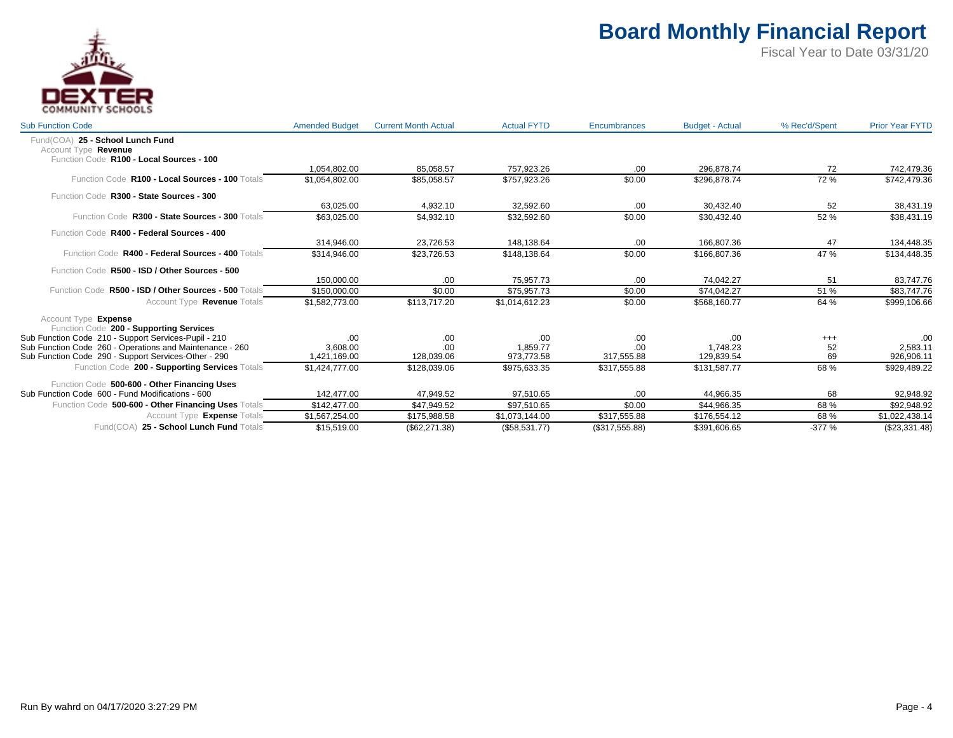

| <b>Sub Function Code</b>                                                                             | <b>Amended Budget</b> | <b>Current Month Actual</b> | <b>Actual FYTD</b> | <b>Encumbrances</b> | <b>Budget - Actual</b> | % Rec'd/Spent | <b>Prior Year FYTD</b> |
|------------------------------------------------------------------------------------------------------|-----------------------|-----------------------------|--------------------|---------------------|------------------------|---------------|------------------------|
| Fund(COA) 25 - School Lunch Fund<br>Account Type Revenue<br>Function Code R100 - Local Sources - 100 |                       |                             |                    |                     |                        |               |                        |
|                                                                                                      | 1,054,802.00          | 85,058.57                   | 757,923.26         | .00                 | 296.878.74             | 72            | 742,479.36             |
| Function Code R100 - Local Sources - 100 Totals                                                      | \$1,054,802.00        | \$85,058.57                 | \$757.923.26       | \$0.00              | \$296.878.74           | 72%           | \$742,479.36           |
| Function Code R300 - State Sources - 300                                                             |                       |                             |                    |                     |                        |               |                        |
|                                                                                                      | 63.025.00             | 4.932.10                    | 32.592.60          | .00                 | 30.432.40              | 52            | 38,431.19              |
| Function Code R300 - State Sources - 300 Totals                                                      | \$63,025.00           | \$4,932.10                  | \$32,592.60        | \$0.00              | \$30,432.40            | 52%           | \$38,431.19            |
| Function Code R400 - Federal Sources - 400                                                           |                       |                             |                    |                     |                        |               |                        |
|                                                                                                      | 314.946.00            | 23,726.53                   | 148,138.64         | .00                 | 166.807.36             | 47            | 134,448.35             |
| Function Code R400 - Federal Sources - 400 Totals                                                    | \$314,946.00          | \$23,726.53                 | \$148,138.64       | \$0.00              | \$166,807.36           | 47 %          | \$134,448.35           |
| Function Code R500 - ISD / Other Sources - 500                                                       |                       |                             |                    |                     |                        |               |                        |
|                                                                                                      | 150.000.00            | .00                         | 75.957.73          | .00                 | 74.042.27              | 51            | 83,747.76              |
| Function Code R500 - ISD / Other Sources - 500 Totals                                                | \$150,000.00          | \$0.00                      | \$75.957.73        | \$0.00              | \$74.042.27            | 51 %          | \$83,747.76            |
| Account Type Revenue Totals                                                                          | \$1,582,773.00        | \$113,717.20                | \$1,014,612.23     | \$0.00              | \$568,160.77           | 64 %          | \$999,106.66           |
| Account Type Expense                                                                                 |                       |                             |                    |                     |                        |               |                        |
| Function Code 200 - Supporting Services                                                              |                       |                             |                    |                     |                        |               |                        |
| Sub Function Code 210 - Support Services-Pupil - 210                                                 | .00                   | .00                         | .00                | .00                 | .00                    | $^{+++}$      | .00.                   |
| Sub Function Code 260 - Operations and Maintenance - 260                                             | 3.608.00              | .00                         | 1.859.77           | .00                 | 1.748.23               | 52            | 2,583.11               |
| Sub Function Code 290 - Support Services-Other - 290                                                 | 1,421,169.00          | 128,039.06                  | 973,773.58         | 317,555.88          | 129,839.54             | 69            | 926,906.11             |
| Function Code 200 - Supporting Services Totals                                                       | \$1,424,777.00        | \$128,039.06                | \$975,633.35       | \$317,555.88        | \$131,587.77           | 68%           | \$929,489.22           |
| Function Code 500-600 - Other Financing Uses                                                         |                       |                             |                    |                     |                        |               |                        |
| Sub Function Code 600 - Fund Modifications - 600                                                     | 142.477.00            | 47.949.52                   | 97.510.65          | .00                 | 44.966.35              | 68            | 92,948.92              |
| Function Code 500-600 - Other Financing Uses Totals                                                  | \$142,477.00          | \$47,949.52                 | \$97,510.65        | \$0.00              | \$44,966.35            | 68%           | \$92,948.92            |
| Account Type <b>Expense</b> Totals                                                                   | \$1,567,254.00        | \$175,988.58                | \$1,073,144.00     | \$317,555.88        | \$176,554.12           | 68%           | \$1,022,438.14         |
| Fund(COA) 25 - School Lunch Fund Totals                                                              | \$15,519.00           | (\$62, 271.38)              | (\$58,531.77)      | (\$317,555.88)      | \$391,606.65           | $-377%$       | (\$23,331.48)          |